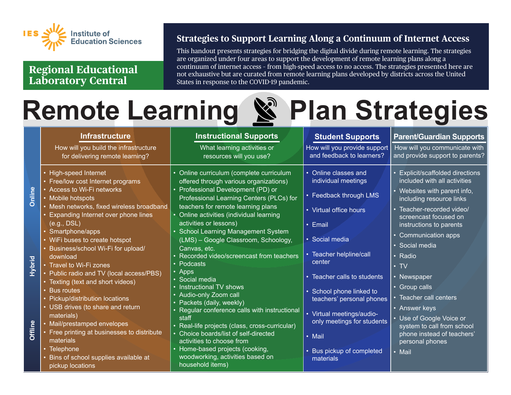

**Regional Educational Laboratory Central**

## **Strategies to Support Learning Along a Continuum of Internet Access**

This handout presents strategies for bridging the digital divide during remote learning. The strategies are organized under four areas to support the development of remote learning plans along a continuum of internet access – from high-speed access to no access. The strategies presented here are not exhaustive but are curated from remote learning plans developed by districts across the United States in response to the COVID-19 pandemic.

## **Remote Learning & Plan Strategies**

|                   | <b>Infrastructure</b>                                                                                                                                                                                                                                                                                                                                                                                                                                                   | <b>Instructional Supports</b>                                                                                                                                                                                                                                                                                                                                                                                                                                                                                                          | <b>Student Supports</b>                                                                                                                                                                                                                                    | <b>Parent/Guardian Supports</b>                                                                                                                                                                                                                                        |
|-------------------|-------------------------------------------------------------------------------------------------------------------------------------------------------------------------------------------------------------------------------------------------------------------------------------------------------------------------------------------------------------------------------------------------------------------------------------------------------------------------|----------------------------------------------------------------------------------------------------------------------------------------------------------------------------------------------------------------------------------------------------------------------------------------------------------------------------------------------------------------------------------------------------------------------------------------------------------------------------------------------------------------------------------------|------------------------------------------------------------------------------------------------------------------------------------------------------------------------------------------------------------------------------------------------------------|------------------------------------------------------------------------------------------------------------------------------------------------------------------------------------------------------------------------------------------------------------------------|
|                   | How will you build the infrastructure<br>for delivering remote learning?                                                                                                                                                                                                                                                                                                                                                                                                | What learning activities or<br>resources will you use?                                                                                                                                                                                                                                                                                                                                                                                                                                                                                 | How will you provide support<br>and feedback to learners?                                                                                                                                                                                                  | How will you communicate with<br>and provide support to parents?                                                                                                                                                                                                       |
| Online            | • High-speed Internet<br>• Free/low cost Internet programs<br>• Access to Wi-Fi networks<br>• Mobile hotspots<br>• Mesh networks, fixed wireless broadband<br><b>Expanding Internet over phone lines</b><br>(e.g., DSL)<br>Smartphone/apps                                                                                                                                                                                                                              | • Online curriculum (complete curriculum<br>offered through various organizations)<br>Professional Development (PD) or<br>Professional Learning Centers (PLCs) for<br>teachers for remote learning plans<br>• Online activities (individual learning<br>activities or lessons)<br><b>School Learning Management System</b>                                                                                                                                                                                                             | • Online classes and<br>individual meetings<br>• Feedback through LMS<br>• Virtual office hours<br>• Email                                                                                                                                                 | • Explicit/scaffolded directions<br>included with all activities<br>• Websites with parent info,<br>including resource links<br>Teacher-recorded video/<br>$\bullet$<br>screencast focused on<br>instructions to parents                                               |
| Hybrid<br>Offline | • WiFi buses to create hotspot<br>Business/school Wi-Fi for upload/<br>download<br>• Travel to Wi-Fi zones<br>• Public radio and TV (local access/PBS)<br>• Texting (text and short videos)<br>• Bus routes<br>Pickup/distribution locations<br>• USB drives (to share and return<br>materials)<br>• Mail/prestamped envelopes<br>• Free printing at businesses to distribute<br>materials<br>• Telephone<br>• Bins of school supplies available at<br>pickup locations | (LMS) - Google Classroom, Schoology,<br>Canvas, etc.<br>Recorded video/screencast from teachers<br>Podcasts<br>$\bullet$<br>Apps<br>Social media<br>Instructional TV shows<br>$\bullet$<br>Audio-only Zoom call<br>$\bullet$ .<br>Packets (daily, weekly)<br>• Regular conference calls with instructional<br>staff<br>• Real-life projects (class, cross-curricular)<br>• Choice boards/list of self-directed<br>activities to choose from<br>• Home-based projects (cooking,<br>woodworking, activities based on<br>household items) | · Social media<br>• Teacher helpline/call<br>center<br>• Teacher calls to students<br>· School phone linked to<br>teachers' personal phones<br>• Virtual meetings/audio-<br>only meetings for students<br>• Mail<br>• Bus pickup of completed<br>materials | Communication apps<br>$\bullet$<br>· Social media<br>• Radio<br>$\cdot$ TV<br>• Newspaper<br>• Group calls<br>Teacher call centers<br>• Answer keys<br>Use of Google Voice or<br>system to call from school<br>phone instead of teachers'<br>personal phones<br>• Mail |